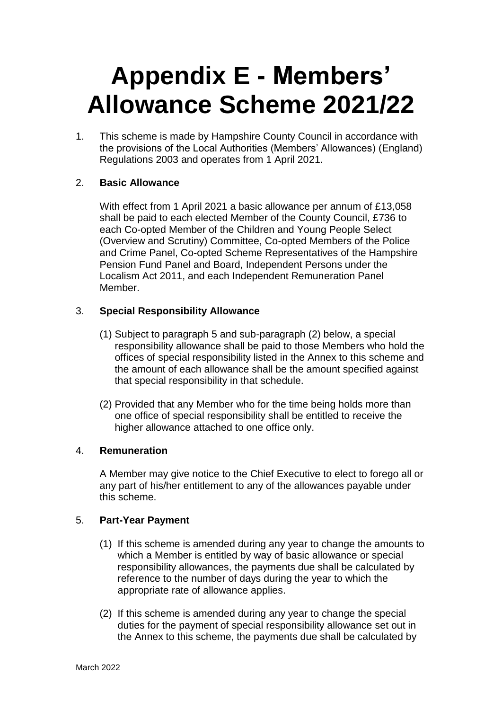# **Appendix E - Members' Allowance Scheme 2021/22**

1. This scheme is made by Hampshire County Council in accordance with the provisions of the Local Authorities (Members' Allowances) (England) Regulations 2003 and operates from 1 April 2021.

#### 2. **Basic Allowance**

With effect from 1 April 2021 a basic allowance per annum of £13,058 shall be paid to each elected Member of the County Council, £736 to each Co-opted Member of the Children and Young People Select (Overview and Scrutiny) Committee, Co-opted Members of the Police and Crime Panel, Co-opted Scheme Representatives of the Hampshire Pension Fund Panel and Board, Independent Persons under the Localism Act 2011, and each Independent Remuneration Panel Member.

#### 3. **Special Responsibility Allowance**

- (1) Subject to paragraph 5 and sub-paragraph (2) below, a special responsibility allowance shall be paid to those Members who hold the offices of special responsibility listed in the Annex to this scheme and the amount of each allowance shall be the amount specified against that special responsibility in that schedule.
- (2) Provided that any Member who for the time being holds more than one office of special responsibility shall be entitled to receive the higher allowance attached to one office only.

#### 4. **Remuneration**

A Member may give notice to the Chief Executive to elect to forego all or any part of his/her entitlement to any of the allowances payable under this scheme.

#### 5. **Part-Year Payment**

- (1) If this scheme is amended during any year to change the amounts to which a Member is entitled by way of basic allowance or special responsibility allowances, the payments due shall be calculated by reference to the number of days during the year to which the appropriate rate of allowance applies.
- (2) If this scheme is amended during any year to change the special duties for the payment of special responsibility allowance set out in the Annex to this scheme, the payments due shall be calculated by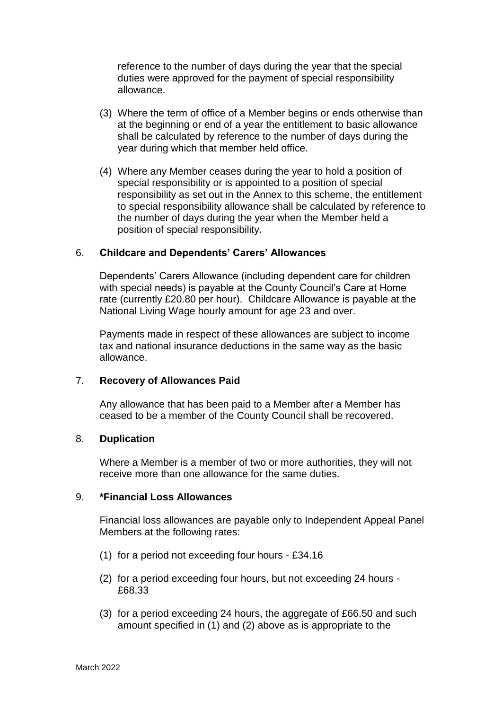reference to the number of days during the year that the special duties were approved for the payment of special responsibility allowance.

- (3) Where the term of office of a Member begins or ends otherwise than at the beginning or end of a year the entitlement to basic allowance shall be calculated by reference to the number of days during the year during which that member held office.
- (4) Where any Member ceases during the year to hold a position of special responsibility or is appointed to a position of special responsibility as set out in the Annex to this scheme, the entitlement to special responsibility allowance shall be calculated by reference to the number of days during the year when the Member held a position of special responsibility.

#### 6. **Childcare and Dependents' Carers' Allowances**

Dependents' Carers Allowance (including dependent care for children with special needs) is payable at the County Council's Care at Home rate (currently £20.80 per hour). Childcare Allowance is payable at the National Living Wage hourly amount for age 23 and over.

Payments made in respect of these allowances are subject to income tax and national insurance deductions in the same way as the basic allowance.

#### 7. **Recovery of Allowances Paid**

Any allowance that has been paid to a Member after a Member has ceased to be a member of the County Council shall be recovered.

#### 8. **Duplication**

Where a Member is a member of two or more authorities, they will not receive more than one allowance for the same duties.

#### 9. **\*Financial Loss Allowances**

Financial loss allowances are payable only to Independent Appeal Panel Members at the following rates:

- (1) for a period not exceeding four hours £34.16
- (2) for a period exceeding four hours, but not exceeding 24 hours £68.33
- (3) for a period exceeding 24 hours, the aggregate of £66.50 and such amount specified in (1) and (2) above as is appropriate to the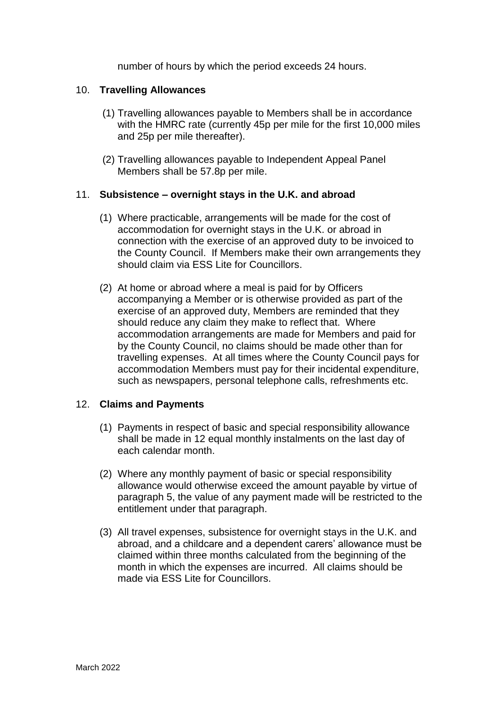number of hours by which the period exceeds 24 hours.

#### 10. **Travelling Allowances**

- (1) Travelling allowances payable to Members shall be in accordance with the HMRC rate (currently 45p per mile for the first 10,000 miles and 25p per mile thereafter).
- (2) Travelling allowances payable to Independent Appeal Panel Members shall be 57.8p per mile.

#### 11. **Subsistence – overnight stays in the U.K. and abroad**

- (1) Where practicable, arrangements will be made for the cost of accommodation for overnight stays in the U.K. or abroad in connection with the exercise of an approved duty to be invoiced to the County Council. If Members make their own arrangements they should claim via ESS Lite for Councillors.
- (2) At home or abroad where a meal is paid for by Officers accompanying a Member or is otherwise provided as part of the exercise of an approved duty, Members are reminded that they should reduce any claim they make to reflect that. Where accommodation arrangements are made for Members and paid for by the County Council, no claims should be made other than for travelling expenses. At all times where the County Council pays for accommodation Members must pay for their incidental expenditure, such as newspapers, personal telephone calls, refreshments etc.

#### 12. **Claims and Payments**

- (1) Payments in respect of basic and special responsibility allowance shall be made in 12 equal monthly instalments on the last day of each calendar month.
- (2) Where any monthly payment of basic or special responsibility allowance would otherwise exceed the amount payable by virtue of paragraph 5, the value of any payment made will be restricted to the entitlement under that paragraph.
- (3) All travel expenses, subsistence for overnight stays in the U.K. and abroad, and a childcare and a dependent carers' allowance must be claimed within three months calculated from the beginning of the month in which the expenses are incurred. All claims should be made via ESS Lite for Councillors.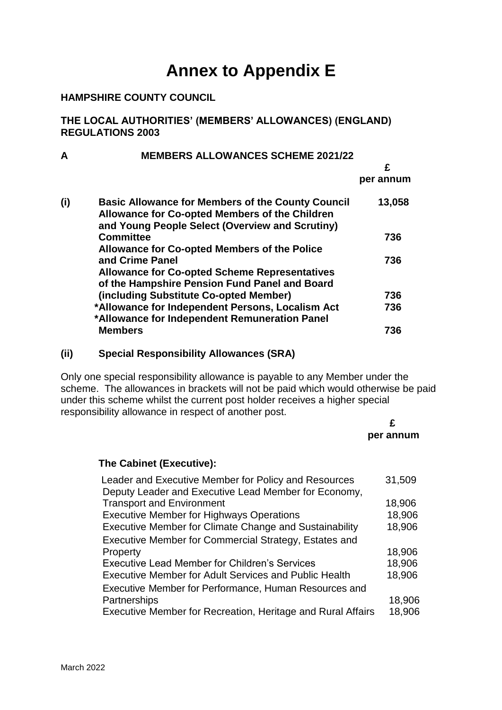## **Annex to Appendix E**

#### **HAMPSHIRE COUNTY COUNCIL**

**THE LOCAL AUTHORITIES' (MEMBERS' ALLOWANCES) (ENGLAND) REGULATIONS 2003**

| A   | <b>MEMBERS ALLOWANCES SCHEME 2021/22</b>                                                                                                                      |           |
|-----|---------------------------------------------------------------------------------------------------------------------------------------------------------------|-----------|
|     |                                                                                                                                                               | £         |
|     |                                                                                                                                                               | per annum |
| (i) | <b>Basic Allowance for Members of the County Council</b><br>Allowance for Co-opted Members of the Children<br>and Young People Select (Overview and Scrutiny) | 13,058    |
|     | <b>Committee</b>                                                                                                                                              | 736       |
|     | Allowance for Co-opted Members of the Police                                                                                                                  |           |
|     | and Crime Panel                                                                                                                                               | 736       |
|     | <b>Allowance for Co-opted Scheme Representatives</b>                                                                                                          |           |
|     | of the Hampshire Pension Fund Panel and Board                                                                                                                 |           |
|     | (including Substitute Co-opted Member)                                                                                                                        | 736       |
|     | *Allowance for Independent Persons, Localism Act                                                                                                              | 736       |
|     | *Allowance for Independent Remuneration Panel                                                                                                                 |           |
|     | <b>Members</b>                                                                                                                                                | 736       |

#### **(ii) Special Responsibility Allowances (SRA)**

Only one special responsibility allowance is payable to any Member under the scheme. The allowances in brackets will not be paid which would otherwise be paid under this scheme whilst the current post holder receives a higher special responsibility allowance in respect of another post.

 **£ per annum**

#### **The Cabinet (Executive):**

| Leader and Executive Member for Policy and Resources<br>Deputy Leader and Executive Lead Member for Economy, | 31,509 |
|--------------------------------------------------------------------------------------------------------------|--------|
| <b>Transport and Environment</b>                                                                             | 18,906 |
| <b>Executive Member for Highways Operations</b>                                                              | 18,906 |
| <b>Executive Member for Climate Change and Sustainability</b>                                                | 18,906 |
| Executive Member for Commercial Strategy, Estates and                                                        |        |
| Property                                                                                                     | 18,906 |
| <b>Executive Lead Member for Children's Services</b>                                                         | 18,906 |
| <b>Executive Member for Adult Services and Public Health</b>                                                 | 18,906 |
| Executive Member for Performance, Human Resources and                                                        |        |
| Partnerships                                                                                                 | 18,906 |
| Executive Member for Recreation, Heritage and Rural Affairs                                                  | 18,906 |
|                                                                                                              |        |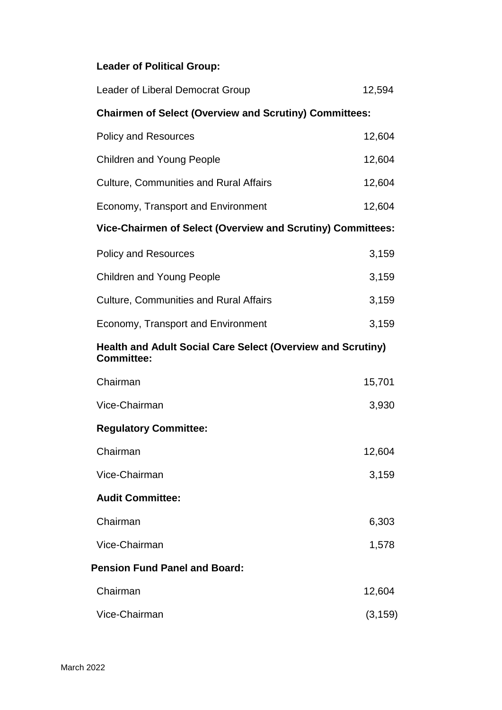### **Leader of Political Group:**

|                                      | Leader of Liberal Democrat Group                                                        | 12,594   |  |
|--------------------------------------|-----------------------------------------------------------------------------------------|----------|--|
|                                      | <b>Chairmen of Select (Overview and Scrutiny) Committees:</b>                           |          |  |
|                                      | <b>Policy and Resources</b>                                                             | 12,604   |  |
|                                      | <b>Children and Young People</b>                                                        | 12,604   |  |
|                                      | <b>Culture, Communities and Rural Affairs</b>                                           | 12,604   |  |
|                                      | Economy, Transport and Environment                                                      | 12,604   |  |
|                                      | Vice-Chairmen of Select (Overview and Scrutiny) Committees:                             |          |  |
|                                      | <b>Policy and Resources</b>                                                             | 3,159    |  |
|                                      | <b>Children and Young People</b>                                                        | 3,159    |  |
|                                      | <b>Culture, Communities and Rural Affairs</b>                                           | 3,159    |  |
|                                      | Economy, Transport and Environment                                                      | 3,159    |  |
|                                      | <b>Health and Adult Social Care Select (Overview and Scrutiny)</b><br><b>Committee:</b> |          |  |
|                                      | Chairman                                                                                | 15,701   |  |
|                                      | Vice-Chairman                                                                           | 3,930    |  |
|                                      | <b>Regulatory Committee:</b>                                                            |          |  |
|                                      | Chairman                                                                                | 12,604   |  |
|                                      | Vice-Chairman                                                                           | 3,159    |  |
|                                      | <b>Audit Committee:</b>                                                                 |          |  |
|                                      | Chairman                                                                                | 6,303    |  |
|                                      | Vice-Chairman                                                                           | 1,578    |  |
| <b>Pension Fund Panel and Board:</b> |                                                                                         |          |  |
|                                      | Chairman                                                                                | 12,604   |  |
|                                      | Vice-Chairman                                                                           | (3, 159) |  |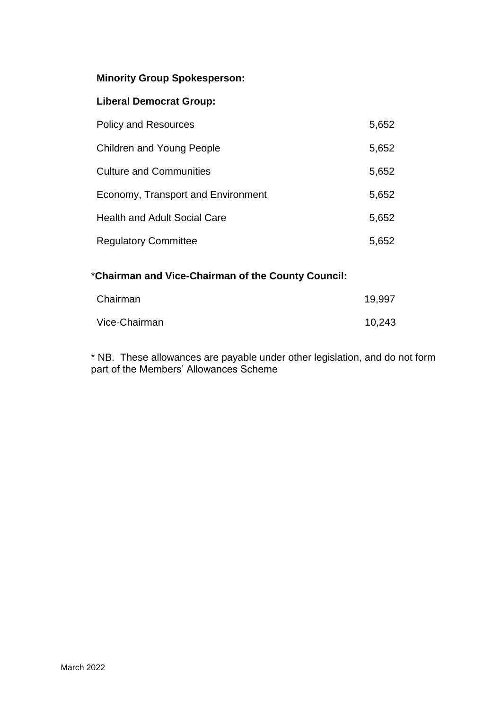#### **Minority Group Spokesperson:**

#### **Liberal Democrat Group:**

| <b>Policy and Resources</b>         | 5,652 |
|-------------------------------------|-------|
| <b>Children and Young People</b>    | 5,652 |
| <b>Culture and Communities</b>      | 5,652 |
| Economy, Transport and Environment  | 5,652 |
| <b>Health and Adult Social Care</b> | 5,652 |
| <b>Regulatory Committee</b>         | 5,652 |

#### \***Chairman and Vice-Chairman of the County Council:**

| Chairman      | 19,997 |
|---------------|--------|
| Vice-Chairman | 10,243 |

\* NB. These allowances are payable under other legislation, and do not form part of the Members' Allowances Scheme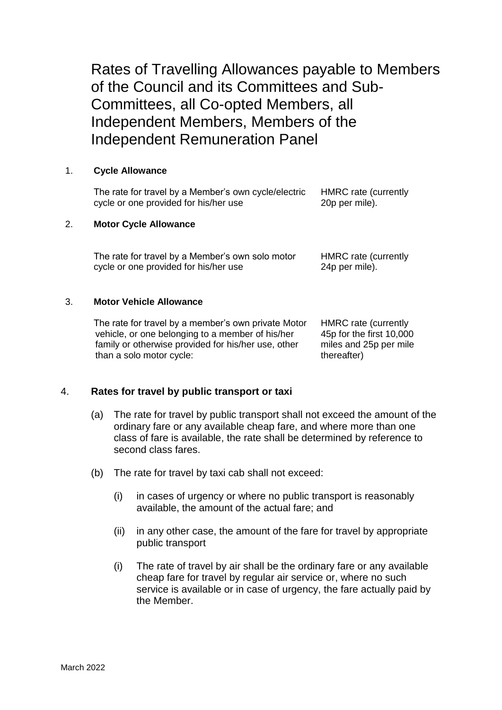Rates of Travelling Allowances payable to Members of the Council and its Committees and Sub-Committees, all Co-opted Members, all Independent Members, Members of the Independent Remuneration Panel

#### 1. **Cycle Allowance**

|    | The rate for travel by a Member's own cycle/electric<br>cycle or one provided for his/her use           | <b>HMRC</b> rate (currently<br>20p per mile).    |
|----|---------------------------------------------------------------------------------------------------------|--------------------------------------------------|
| 2. | <b>Motor Cycle Allowance</b>                                                                            |                                                  |
|    | The rate for travel by a Member's own solo motor<br>cycle or one provided for his/her use               | <b>HMRC</b> rate (currently<br>24p per mile).    |
| 3. | <b>Motor Vehicle Allowance</b>                                                                          |                                                  |
|    | The rate for travel by a member's own private Motor<br>vehicle, or one belonging to a member of his/her | HMRC rate (currently<br>45p for the first 10,000 |

vehicle, or one belonging to a member of his/her family or otherwise provided for his/her use, other than a solo motor cycle: 45p for the first 10,000 miles and 25p per mile thereafter)

#### 4. **Rates for travel by public transport or taxi**

- (a) The rate for travel by public transport shall not exceed the amount of the ordinary fare or any available cheap fare, and where more than one class of fare is available, the rate shall be determined by reference to second class fares.
- (b) The rate for travel by taxi cab shall not exceed:
	- (i) in cases of urgency or where no public transport is reasonably available, the amount of the actual fare; and
	- (ii) in any other case, the amount of the fare for travel by appropriate public transport
	- (i) The rate of travel by air shall be the ordinary fare or any available cheap fare for travel by regular air service or, where no such service is available or in case of urgency, the fare actually paid by the Member.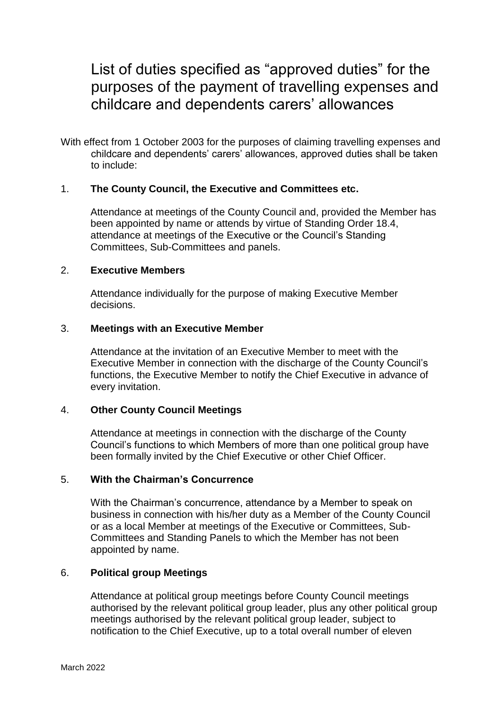## List of duties specified as "approved duties" for the purposes of the payment of travelling expenses and childcare and dependents carers' allowances

With effect from 1 October 2003 for the purposes of claiming travelling expenses and childcare and dependents' carers' allowances, approved duties shall be taken to include:

#### 1. **The County Council, the Executive and Committees etc.**

Attendance at meetings of the County Council and, provided the Member has been appointed by name or attends by virtue of Standing Order 18.4, attendance at meetings of the Executive or the Council's Standing Committees, Sub-Committees and panels.

#### 2. **Executive Members**

Attendance individually for the purpose of making Executive Member decisions.

#### 3. **Meetings with an Executive Member**

Attendance at the invitation of an Executive Member to meet with the Executive Member in connection with the discharge of the County Council's functions, the Executive Member to notify the Chief Executive in advance of every invitation.

#### 4. **Other County Council Meetings**

Attendance at meetings in connection with the discharge of the County Council's functions to which Members of more than one political group have been formally invited by the Chief Executive or other Chief Officer.

#### 5. **With the Chairman's Concurrence**

With the Chairman's concurrence, attendance by a Member to speak on business in connection with his/her duty as a Member of the County Council or as a local Member at meetings of the Executive or Committees, Sub-Committees and Standing Panels to which the Member has not been appointed by name.

#### 6. **Political group Meetings**

Attendance at political group meetings before County Council meetings authorised by the relevant political group leader, plus any other political group meetings authorised by the relevant political group leader, subject to notification to the Chief Executive, up to a total overall number of eleven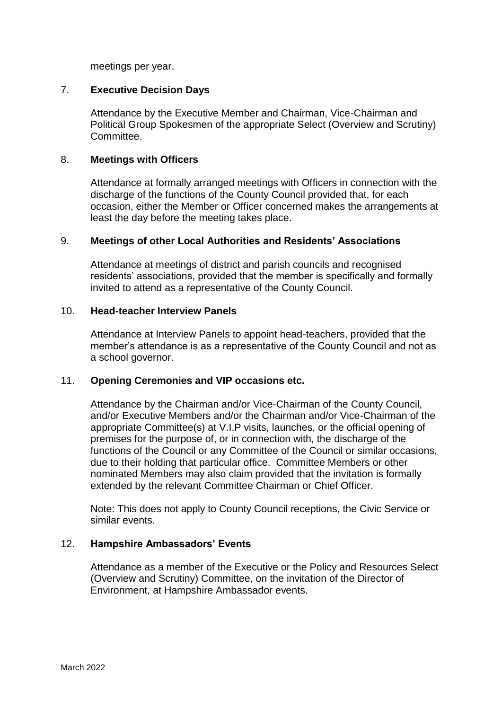meetings per year.

#### 7. **Executive Decision Days**

Attendance by the Executive Member and Chairman, Vice-Chairman and Political Group Spokesmen of the appropriate Select (Overview and Scrutiny) Committee.

#### 8. **Meetings with Officers**

Attendance at formally arranged meetings with Officers in connection with the discharge of the functions of the County Council provided that, for each occasion, either the Member or Officer concerned makes the arrangements at least the day before the meeting takes place.

#### 9. **Meetings of other Local Authorities and Residents' Associations**

Attendance at meetings of district and parish councils and recognised residents' associations, provided that the member is specifically and formally invited to attend as a representative of the County Council.

#### 10. **Head-teacher Interview Panels**

Attendance at Interview Panels to appoint head-teachers, provided that the member's attendance is as a representative of the County Council and not as a school governor.

#### 11. **Opening Ceremonies and VIP occasions etc.**

Attendance by the Chairman and/or Vice-Chairman of the County Council, and/or Executive Members and/or the Chairman and/or Vice-Chairman of the appropriate Committee(s) at V.I.P visits, launches, or the official opening of premises for the purpose of, or in connection with, the discharge of the functions of the Council or any Committee of the Council or similar occasions, due to their holding that particular office. Committee Members or other nominated Members may also claim provided that the invitation is formally extended by the relevant Committee Chairman or Chief Officer.

Note: This does not apply to County Council receptions, the Civic Service or similar events.

#### 12. **Hampshire Ambassadors' Events**

Attendance as a member of the Executive or the Policy and Resources Select (Overview and Scrutiny) Committee, on the invitation of the Director of Environment, at Hampshire Ambassador events.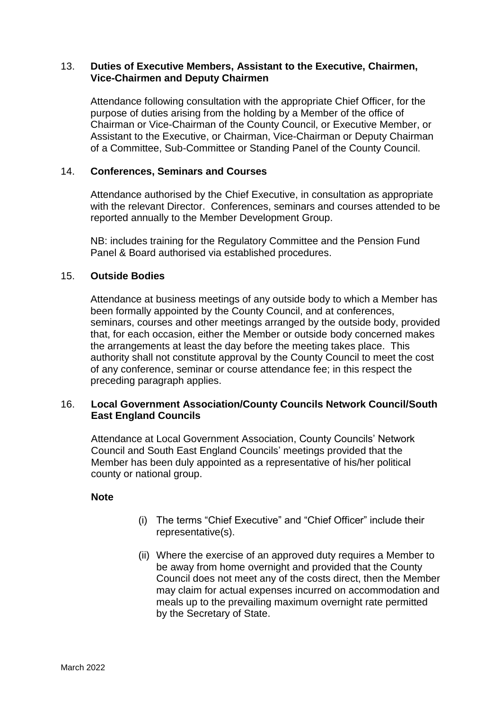#### 13. **Duties of Executive Members, Assistant to the Executive, Chairmen, Vice-Chairmen and Deputy Chairmen**

Attendance following consultation with the appropriate Chief Officer, for the purpose of duties arising from the holding by a Member of the office of Chairman or Vice-Chairman of the County Council, or Executive Member, or Assistant to the Executive, or Chairman, Vice-Chairman or Deputy Chairman of a Committee, Sub-Committee or Standing Panel of the County Council.

#### 14. **Conferences, Seminars and Courses**

Attendance authorised by the Chief Executive, in consultation as appropriate with the relevant Director. Conferences, seminars and courses attended to be reported annually to the Member Development Group.

NB: includes training for the Regulatory Committee and the Pension Fund Panel & Board authorised via established procedures.

#### 15. **Outside Bodies**

Attendance at business meetings of any outside body to which a Member has been formally appointed by the County Council, and at conferences, seminars, courses and other meetings arranged by the outside body, provided that, for each occasion, either the Member or outside body concerned makes the arrangements at least the day before the meeting takes place. This authority shall not constitute approval by the County Council to meet the cost of any conference, seminar or course attendance fee; in this respect the preceding paragraph applies.

#### 16. **Local Government Association/County Councils Network Council/South East England Councils**

Attendance at Local Government Association, County Councils' Network Council and South East England Councils' meetings provided that the Member has been duly appointed as a representative of his/her political county or national group.

#### **Note**

- (i) The terms "Chief Executive" and "Chief Officer" include their representative(s).
- (ii) Where the exercise of an approved duty requires a Member to be away from home overnight and provided that the County Council does not meet any of the costs direct, then the Member may claim for actual expenses incurred on accommodation and meals up to the prevailing maximum overnight rate permitted by the Secretary of State.